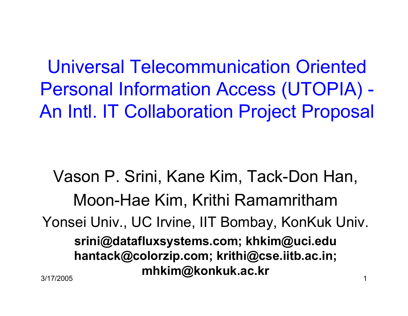Universal Telecommunication Oriented Personal Information Access (UTOPIA) -An Intl. IT Collaboration Project Proposal

 $\sim$  1 Vason P. Srini, Kane Kim, Tack-Don Han,Moon-Hae Kim, Krithi Ramamritham Yonsei Univ., UC Irvine, IIT Bombay, KonKuk Univ.srini@datafluxsystems.com; khkim@uci.edu hantack@colorzip.com; krithi@cse.iitb.ac.in;mhkim@konkuk.ac.kr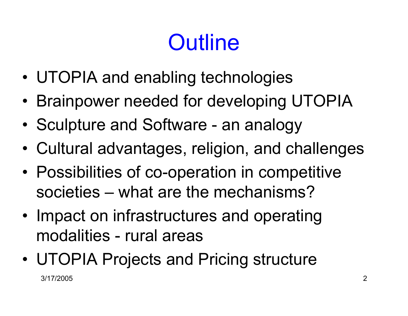# **Outline**

- •UTOPIA and enabling technologies
- •Brainpower needed for developing UTOPIA
- •Sculpture and Software - an analogy
- •Cultural advantages, religion, and challenges
- •Possibilities of co-operation in competitive societies – what are the mechanisms?
- •Impact on infrastructures and operating modalities - rural areas
- 3/17/2005 $\overline{5}$ •UTOPIA Projects and Pricing structure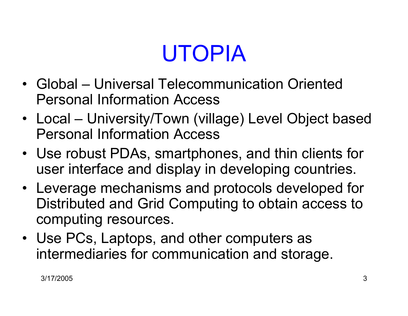# UTOPIA

- Global Universal Telecommunication Oriented Personal Information Access
- Local University/Town (village) Level Object based Personal Information Access
- Use robust PDAs, smartphones, and thin clients for<br>User interface and display in developing countries user interface and display in developing countries.
- Leverage mechanisms and protocols developed for<br>Distributed and Grid Computing to obtain accoss to Distributed and Grid Computing to obtain access tocomputing resources.
- Use PCs, Laptops, and other computers as<br>intermediaties for communication and store intermediaries for communication and storage.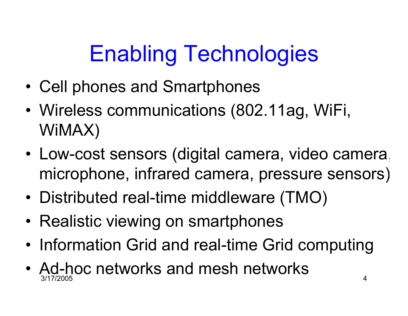# Enabling Technologies

- •Cell phones and Smartphones
- •Wireless communications (802.11ag, WiFi, WiMAX)
- • Low-cost sensors (digital camera, video camera, microphone, infrared camera, pressure sensors)
- •Distributed real-time middleware (TMO)
- Realistic viewing on smartphones
- •Information Grid and real-time Grid computing
- 3/17/2005 $\frac{4}{3}$ •  $\overline{\mathrm{Ad}}$ -hoc networks and mesh networks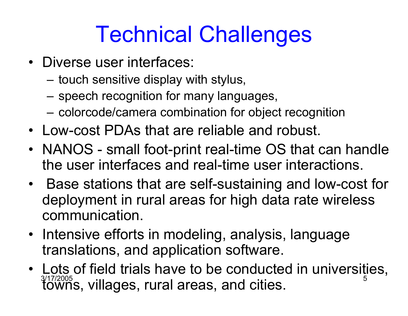## Technical Challenges

- Diverse user interfaces:
	- –touch sensitive display with stylus,
	- speech recognition for many languages,
	- colorcode/camera combination for object recognition
- Low-cost PDAs that are reliable and robust.
- NANOS small foot-print real-time OS that can handle<br>the user interfaces and real time user interactions the user interfaces and real-time user interactions.
- Base stations that are self-sustaining and low-cost for<br>deployment in rural areas for high data rate wireless deployment in rural areas for high data rate wirelesscommunication.
- Intensive efforts in modeling, analysis, language<br>translations, and annlication software translations, and application software.
- <sup>3/17/2005</sup> s, villages, rural areas, and cities.  $100$ • Lots of field trials have to be conducted in universities,<br> $\frac{3717/2005}{20005}$  willoges, rural areas, and eities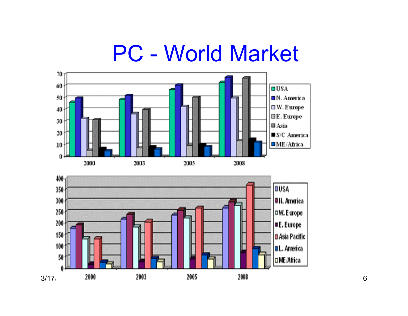#### PC - World Market

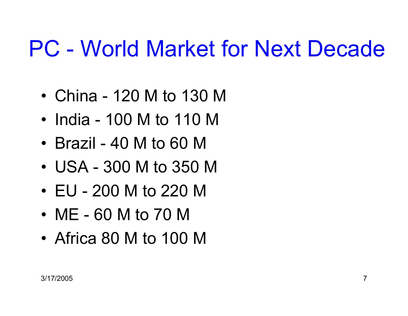### PC - World Market for Next Decade

- •China - 120 M to 130 M
- India 100 M to 110 M
- Brazil 40 M to 60 M
- IISA 300 M to 350 USA - 300 M to 350 M
- EU 200 M to 220 M
- ME 60 M to 70 M
- $\bullet$   $\,$   $\Delta$ trica  $\,$   $\rm SU\,$   $\,$   $\rm M\,$  to  $\,$  1 (  $\,$ Africa 80 M to 100 M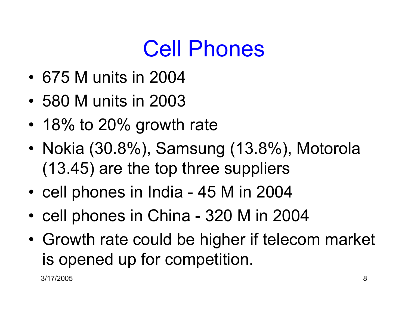### Cell Phones

- 675 M units in 2004
- 580 M units in 2003
- •18% to 20% growth rate
- • Nokia (30.8%), Samsung (13.8%), Motorola (13.45) are the top three suppliers
- cell phones in India 45 M in 2004
- •cell phones in China - 320 M in 2004
- •Growth rate could be higher if telecom market is opened up for competition.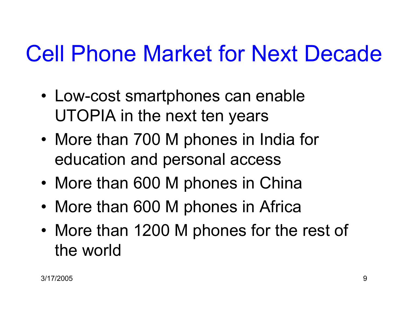## Cell Phone Market for Next Decade

- Low-cost smartphones can enable UTOPIA in the next ten years
- •More than 700 M phones in India for education and personal access
- •More than 600 M phones in China
- •More than 600 M phones in Africa
- •More than 1200 M phones for the rest of the world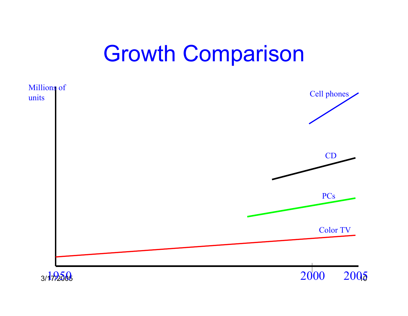#### Growth Comparison

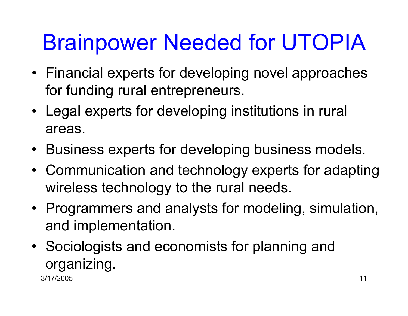# Brainpower Needed for UTOPIA

- Financial experts for developing novel approaches for funding rural entrepreneurs.
- Legal experts for developing institutions in rural areas.
- •Business experts for developing business models.
- $\bullet$  Communication and technology experts for adapting wireless technology to the rural needs.
- Programmers and analysts for modeling, simulation,<br>end implementation and implementation.
- • Sociologists and economists for planning and organizing.

3/17/2005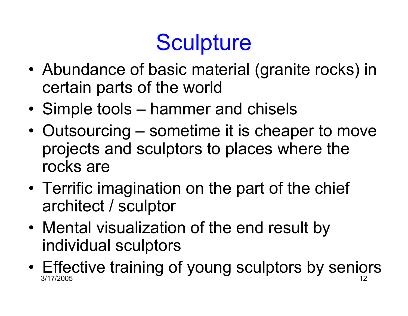# **Sculpture**

- •Abundance of basic material (granite rocks) in<br>cortain parts of the world certain parts of the world
- •Simple tools – hammer and chisels
- •Outsourcing – sometime it is cheaper to move projects and sculptors to places where therocks are
- •Terrific imagination on the part of the chief<br>architect / squiptor architect / sculptor
- •Mental visualization of the end result by<br>individual squiptors individual sculptors
- 3/17/2005 $5 \hspace{2.5cm} \text{12}$ •Effective training of young sculptors by seniors  $\frac{1}{2}$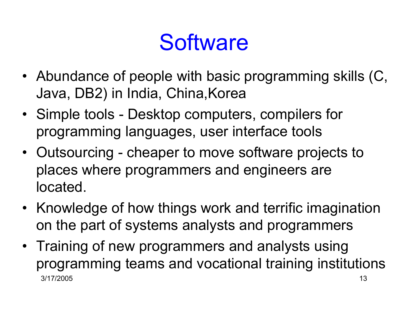### **Software**

- Abundance of people with basic programming skills (C, Java, DB2) in India, China,Korea
- Simple tools Desktop computers, compilers for programming languages, user interface tools
- Outsourcing cheaper to move software projects to places where programmers and engineers arelocated.
- Knowledge of how things work and terrific imagination on the part of systems analysts and programmers
- 3/17/2005 $5^{13}$ • Training of new programmers and analysts using<br>managements to analyses the settle and training institution programming teams and vocational training institutions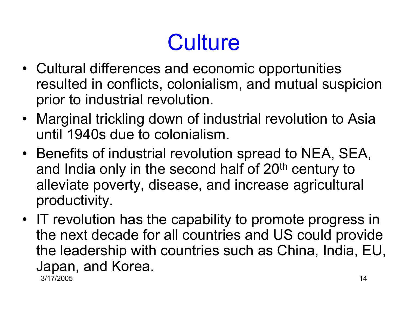# **Culture**

- Cultural differences and economic opportunities resulted in conflicts, colonialism, and mutual suspicionprior to industrial revolution.
- Marginal trickling down of industrial revolution to Asia<br>Finite 1940s due to colonialism until 1940s due to colonialism.
- Benefits of industrial revolution spread to NEA, SEA,<br>and India only in the second half of 20th contury to and India only in the second half of 20<sup>th</sup> century to alleviate poverty, disease, and increase agriculturalproductivity.
- 3/17/2005 $14$ • IT revolution has the capability to promote progress in<br>the next decade for all countries and LIS could provide the next decade for all countries and US could provide the leadership with countries such as China, India, EU,Japan, and Korea.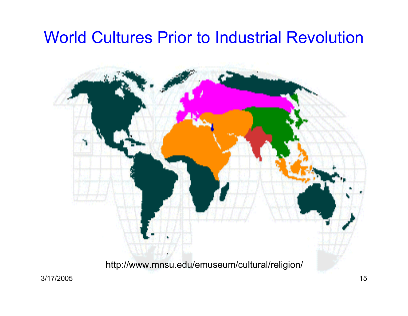#### World Cultures Prior to Industrial Revolution

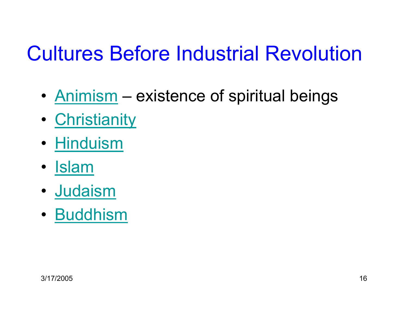#### Cultures Before Industrial Revolution

- •• **Animism** – existence of spiritual beings
- •• <u>Christianity</u>
- <u>Hinduism</u>
- <u>Islam</u>
- Judaism
- <u>Buddhism</u>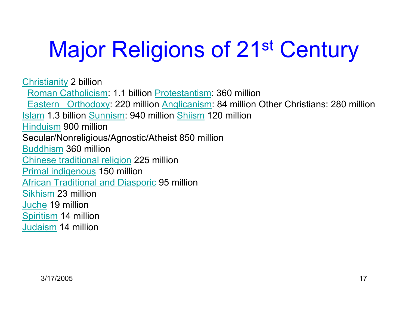# Major Religions of 21<sup>st</sup> Century

Christianity 2 billion Roman Catholicism: 1.1 billion Protestantism: 360 millionEastern Orthodoxy: 220 million Anglicanism: 84 million Other Christians: 280 million Islam 1.3 billion Sunnism: 940 million Shiism 120 millionHinduism 900 million Secular/Nonreligious/Agnostic/Atheist 850 millionBuddhism 360 million Chinese traditional religion 225 millionPrimal indigenous 150 million African Traditional and Diasporic 95 millionSikhism 23 millionJuche 19 million Spiritism 14 millionJudaism 14 million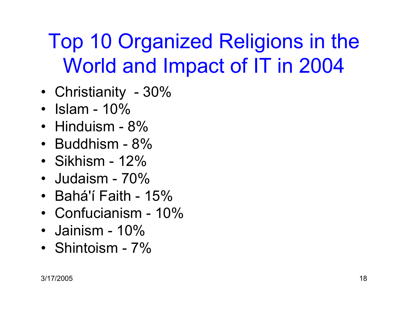#### Top 10 Organized Religions in theWorld and Impact of IT in 2004

- Christianity 30%
- Islam 10%
- Hinduism 8%
- Buddhism 8%
- Sikhism 12%
- Judaism 70%
- Bahá'í Faith 15%
- Confucianism 10%
- Jainism 10%
- Shintoism 7%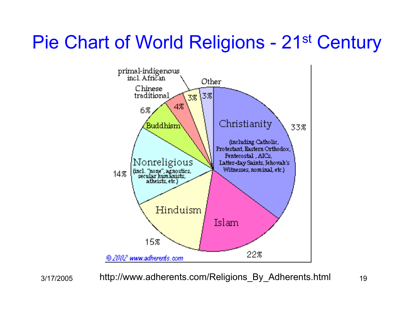#### Pie Chart of World Religions - 21<sup>st</sup> Century



3/17/2005

<sup>19</sup> http://www.adherents.com/Religions\_By\_Adherents.html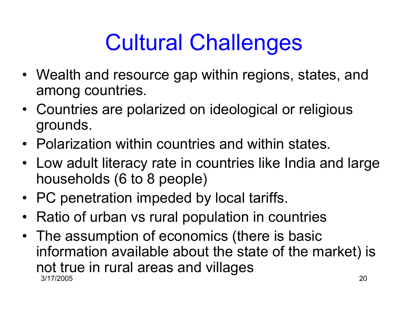# Cultural Challenges

- Wealth and resource gap within regions, states, and among countries.
- Countries are polarized on ideological or religious grounds.
- Polarization within countries and within states.
- Low adult literacy rate in countries like India and large<br>bousebolds (6 to 8 people) households (6 to 8 people)
- PC penetration impeded by local tariffs.
- Ratio of urban vs rural population in countries
- 3/17/2005 $5^{\circ}$  20 • The assumption of economics (there is basic<br>information available about the state of the m information available about the state of the market) isnot true in rural areas and villages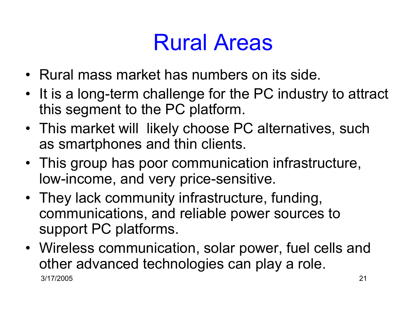## Rural Areas

- Rural mass market has numbers on its side.
- It is a long-term challenge for the PC industry to attract<br>this segment to the PC platform this segment to the PC platform.
- This market will likely choose PC alternatives, such<br>as smartphones and thin clients as smartphones and thin clients.
- This group has poor communication infrastructure, low-income, and very price-sensitive.
- They lack community infrastructure, funding, communications, and reliable power sources tosupport PC platforms.
- 3/17/2005 $5^{21}$ • Wireless communication, solar power, fuel cells and<br>ether advanced technologies can play a rele other advanced technologies can play a role.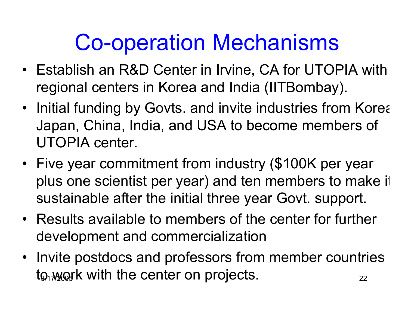### Co-operation Mechanisms

- Establish an R&D Center in Irvine, CA for UTOPIA with<br>mesianal contage in Karea and India (UTDarehau) regional centers in Korea and India (IITBombay).
- Initial funding by Govts. and invite industries from Korea,<br>Lange China, India, and USA to because members of Japan, China, India, and USA to become members ofUTOPIA center.
- •Five year commitment from industry (\$100K per year plus one scientist per year) and ten members to make itsustainable after the initial three year Govt. support.
- Results available to members of the center for further development and commercialization
- to work with the center on projects.  $\begin{array}{cc} \Sigma_{22} & \Sigma_{12} \end{array}$ • Invite postdocs and professors from member countries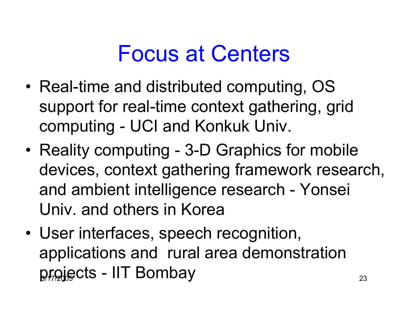### Focus at Centers

- •Real-time and distributed computing, OS support for real-time context gathering, gridcomputing - UCI and Konkuk Univ.
- •Reality computing - 3-D Graphics for mobile devices, context gathering framework research,and ambient intelligence research - YonseiUniv. and others in Korea
- $p$ rojects IIT Bombay  $_{23}$ •User interfaces, speech recognition, applications and rural area demonstration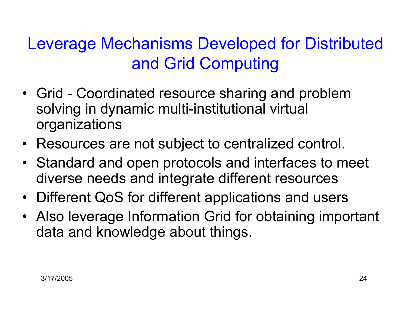#### Leverage Mechanisms Developed for Distributedand Grid Computing

- Grid Coordinated resource sharing and problem<br>colving in dynamic multi institutional virtual solving in dynamic multi-institutional virtualorganizations
- Resources are not subject to centralized control.
- Standard and open protocols and interfaces to meet<br>diverse poods and integrate different resources diverse needs and integrate different resources
- Different QoS for different applications and users
- Also leverage Information Grid for obtaining important<br>clate and knowledge about things data and knowledge about things.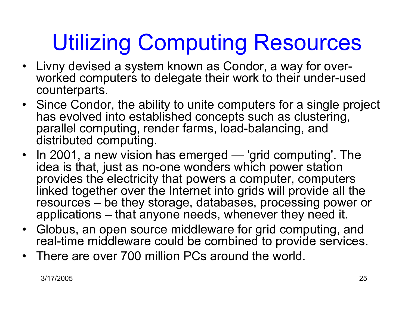# Utilizing Computing Resources

- Livny devised a system known as Condor, a way for overworked computers to delegate their work to their under-usedcounterparts.
- Since Condor, the ability to unite computers for a single project<br>has evolved into established concents such as clustering has evolved into established concepts such as clustering,parallel computing, render farms, load-balancing, anddistributed computing.
- $\bullet$ In 2001, a new vision has emerged — 'grid computing'. The<br>idea is that just as no-one wonders which power station idea is that, just as no-one wonders which power station provides the electricity that powers a computer, computers linked together over the Internet into grids will provide all the resources – be they storage, databases, processing power orapplications – that anyone needs, whenever they need it.
- $\bullet$  Globus, an open source middleware for grid computing, and real-time middleware could be combined to provide services.
- •There are over 700 million PCs around the world.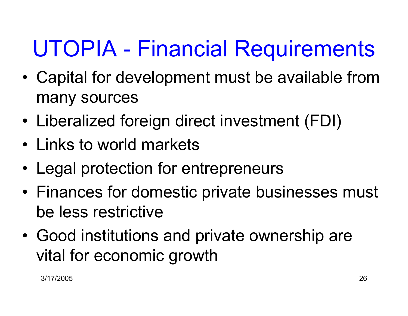# UTOPIA - Financial Requirements

- • Capital for development must be available frommany sources
- •Liberalized foreign direct investment (FDI)
- Links to world markets
- •Legal protection for entrepreneurs
- •Finances for domestic private businesses must<br>be less restrictive be less restrictive
- •Good institutions and private ownership are vital for economic growth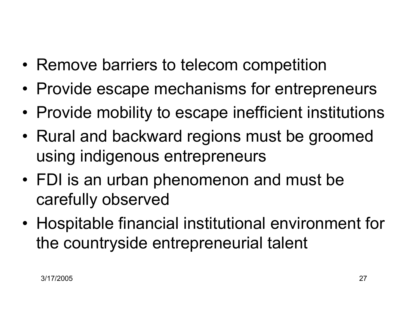- Remove barriers to telecom competition
- •Provide escape mechanisms for entrepreneurs
- •Provide mobility to escape inefficient institutions
- Rural and backward regions must be groomed using indigenous entrepreneurs
- FDI is an urban phenomenon and must be<br>exactually aboar used carefully observed
- • Hospitable financial institutional environment for the countryside entrepreneurial talent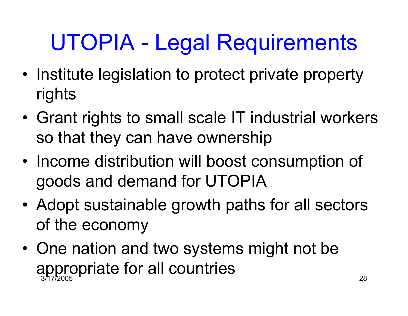# UTOPIA - Legal Requirements

- Institute legislation to protect private property<br>siskte rights
- •Grant rights to small scale IT industrial workers so that they can have ownership
- •Income distribution will boost consumption of goods and demand for UTOPIA
- •Adopt sustainable growth paths for all sectors of the economy
- 3/17/2005 <sup>28</sup> •One nation and two systems might not be<br>example for all conduing appropriate for all countries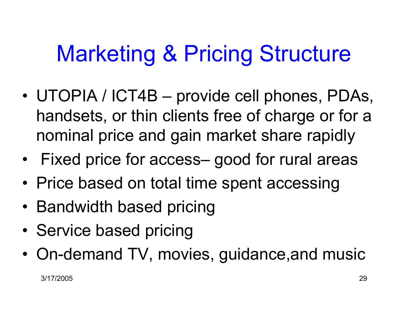## Marketing & Pricing Structure

- • UTOPIA / ICT4B – provide cell phones, PDAs, handsets, or thin clients free of charge or for anominal price and gain market share rapidly
- •Fixed price for access– good for rural areas
- Price based on total time spent accessing
- Bandwidth based pricing
- •Service based pricing
- •On-demand TV, movies, guidance,and music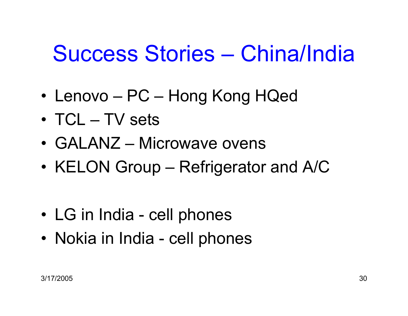### Success Stories – China/India

- •Lenovo – PC – Hong Kong HQed
- •TCL – TV sets
- •GALANZ – Microwave ovens
- •KELON Group – Refrigerator and A/C
- •LG in India - cell phones
- Nokia in India cell phones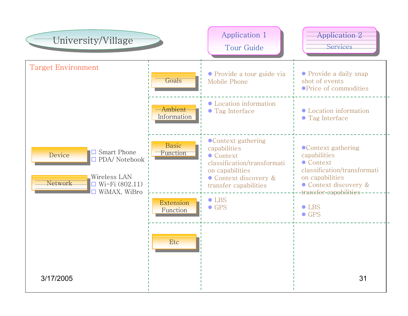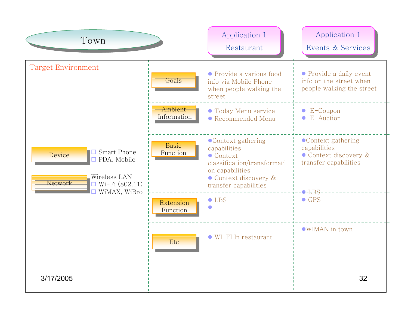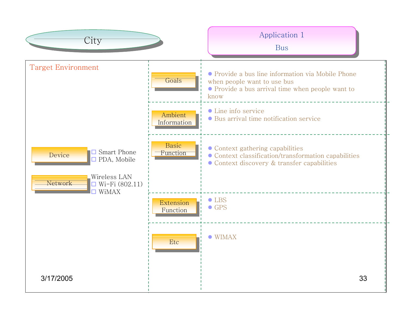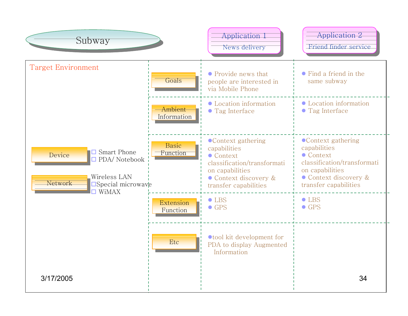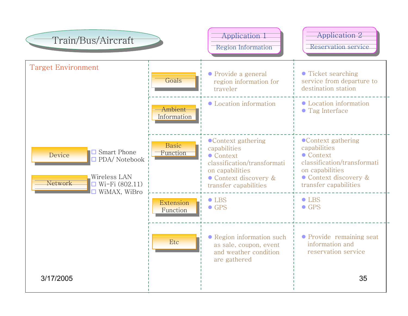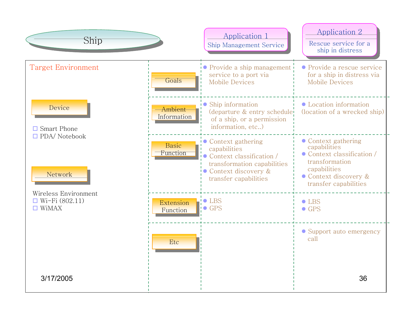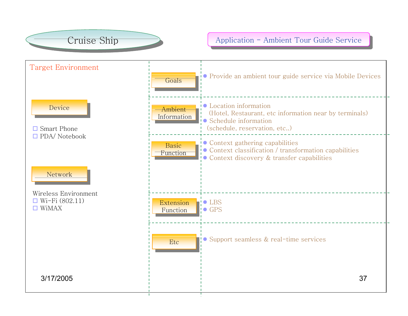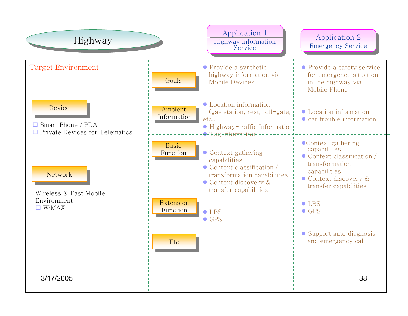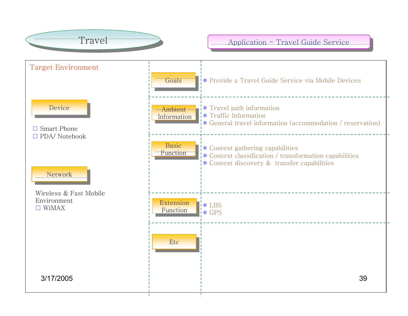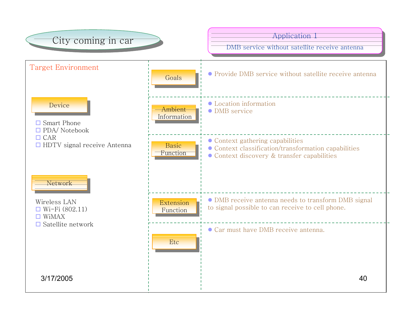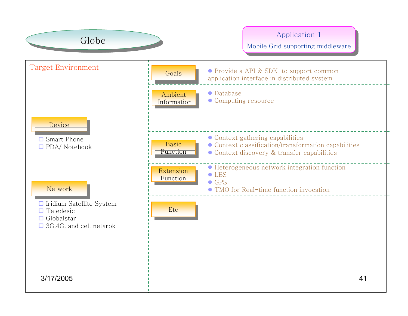